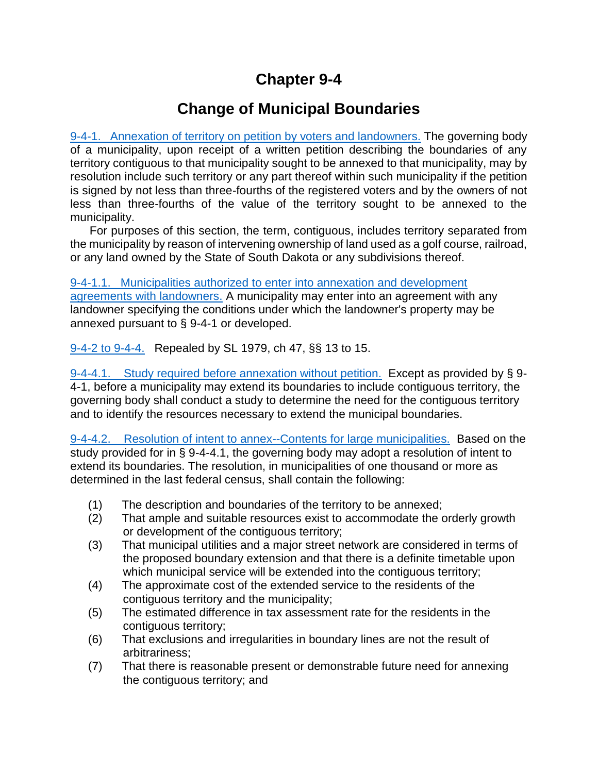## **Chapter 9-4**

## **Change of Municipal Boundaries**

[9-4-1. Annexation of territory on petition by voters and landowners.](http://sdlegislature.gov/Statutes/Codified_Laws/DisplayStatute.aspx?Type=Statute&Statute=9-4-1) The governing body of a municipality, upon receipt of a written petition describing the boundaries of any territory contiguous to that municipality sought to be annexed to that municipality, may by resolution include such territory or any part thereof within such municipality if the petition is signed by not less than three-fourths of the registered voters and by the owners of not less than three-fourths of the value of the territory sought to be annexed to the municipality.

 For purposes of this section, the term, contiguous, includes territory separated from the municipality by reason of intervening ownership of land used as a golf course, railroad, or any land owned by the State of South Dakota or any subdivisions thereof.

[9-4-1.1. Municipalities authorized to enter into annexation and development](http://sdlegislature.gov/Statutes/Codified_Laws/DisplayStatute.aspx?Type=Statute&Statute=9-4-1.1)  [agreements with landowners.](http://sdlegislature.gov/Statutes/Codified_Laws/DisplayStatute.aspx?Type=Statute&Statute=9-4-1.1) A municipality may enter into an agreement with any landowner specifying the conditions under which the landowner's property may be annexed pursuant to § 9-4-1 or developed.

[9-4-2 to 9-4-4.](http://sdlegislature.gov/Statutes/Codified_Laws/DisplayStatute.aspx?Type=Statute&Statute=9-4-2) Repealed by SL 1979, ch 47, §§ 13 to 15.

[9-4-4.1. Study required before annexation without petition.](http://sdlegislature.gov/Statutes/Codified_Laws/DisplayStatute.aspx?Type=Statute&Statute=9-4-4.1) Except as provided by § 9- 4-1, before a municipality may extend its boundaries to include contiguous territory, the governing body shall conduct a study to determine the need for the contiguous territory and to identify the resources necessary to extend the municipal boundaries.

[9-4-4.2. Resolution of intent to annex--Contents for large municipalities.](http://sdlegislature.gov/Statutes/Codified_Laws/DisplayStatute.aspx?Type=Statute&Statute=9-4-4.2) Based on the study provided for in § 9-4-4.1, the governing body may adopt a resolution of intent to extend its boundaries. The resolution, in municipalities of one thousand or more as determined in the last federal census, shall contain the following:

- (1) The description and boundaries of the territory to be annexed;
- (2) That ample and suitable resources exist to accommodate the orderly growth or development of the contiguous territory;
- (3) That municipal utilities and a major street network are considered in terms of the proposed boundary extension and that there is a definite timetable upon which municipal service will be extended into the contiguous territory;
- (4) The approximate cost of the extended service to the residents of the contiguous territory and the municipality;
- (5) The estimated difference in tax assessment rate for the residents in the contiguous territory;
- (6) That exclusions and irregularities in boundary lines are not the result of arbitrariness;
- (7) That there is reasonable present or demonstrable future need for annexing the contiguous territory; and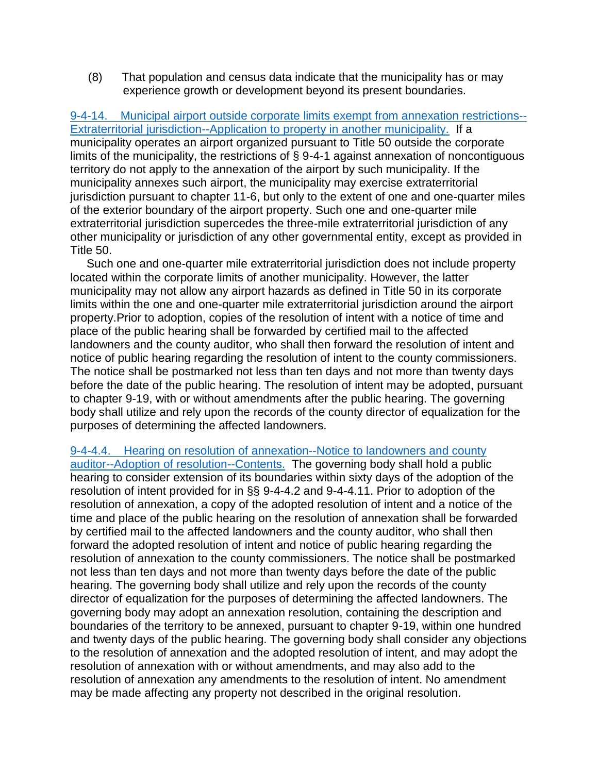(8) That population and census data indicate that the municipality has or may experience growth or development beyond its present boundaries.

[9-4-14. Municipal airport outside corporate limits exempt from annexation restrictions--](http://sdlegislature.gov/Statutes/Codified_Laws/DisplayStatute.aspx?Type=Statute&Statute=9-4-14) [Extraterritorial jurisdiction--Application to property in another municipality.](http://sdlegislature.gov/Statutes/Codified_Laws/DisplayStatute.aspx?Type=Statute&Statute=9-4-14) If a municipality operates an airport organized pursuant to Title 50 outside the corporate limits of the municipality, the restrictions of § 9-4-1 against annexation of noncontiguous territory do not apply to the annexation of the airport by such municipality. If the municipality annexes such airport, the municipality may exercise extraterritorial jurisdiction pursuant to chapter 11-6, but only to the extent of one and one-quarter miles of the exterior boundary of the airport property. Such one and one-quarter mile extraterritorial jurisdiction supercedes the three-mile extraterritorial jurisdiction of any other municipality or jurisdiction of any other governmental entity, except as provided in Title 50.

 Such one and one-quarter mile extraterritorial jurisdiction does not include property located within the corporate limits of another municipality. However, the latter municipality may not allow any airport hazards as defined in Title 50 in its corporate limits within the one and one-quarter mile extraterritorial jurisdiction around the airport property.Prior to adoption, copies of the resolution of intent with a notice of time and place of the public hearing shall be forwarded by certified mail to the affected landowners and the county auditor, who shall then forward the resolution of intent and notice of public hearing regarding the resolution of intent to the county commissioners. The notice shall be postmarked not less than ten days and not more than twenty days before the date of the public hearing. The resolution of intent may be adopted, pursuant to chapter 9-19, with or without amendments after the public hearing. The governing body shall utilize and rely upon the records of the county director of equalization for the purposes of determining the affected landowners.

## [9-4-4.4. Hearing on resolution of annexation--Notice to landowners and county](http://sdlegislature.gov/Statutes/Codified_Laws/DisplayStatute.aspx?Type=Statute&Statute=9-4-4.4)

[auditor--Adoption of resolution--Contents.](http://sdlegislature.gov/Statutes/Codified_Laws/DisplayStatute.aspx?Type=Statute&Statute=9-4-4.4) The governing body shall hold a public hearing to consider extension of its boundaries within sixty days of the adoption of the resolution of intent provided for in §§ 9-4-4.2 and 9-4-4.11. Prior to adoption of the resolution of annexation, a copy of the adopted resolution of intent and a notice of the time and place of the public hearing on the resolution of annexation shall be forwarded by certified mail to the affected landowners and the county auditor, who shall then forward the adopted resolution of intent and notice of public hearing regarding the resolution of annexation to the county commissioners. The notice shall be postmarked not less than ten days and not more than twenty days before the date of the public hearing. The governing body shall utilize and rely upon the records of the county director of equalization for the purposes of determining the affected landowners. The governing body may adopt an annexation resolution, containing the description and boundaries of the territory to be annexed, pursuant to chapter 9-19, within one hundred and twenty days of the public hearing. The governing body shall consider any objections to the resolution of annexation and the adopted resolution of intent, and may adopt the resolution of annexation with or without amendments, and may also add to the resolution of annexation any amendments to the resolution of intent. No amendment may be made affecting any property not described in the original resolution.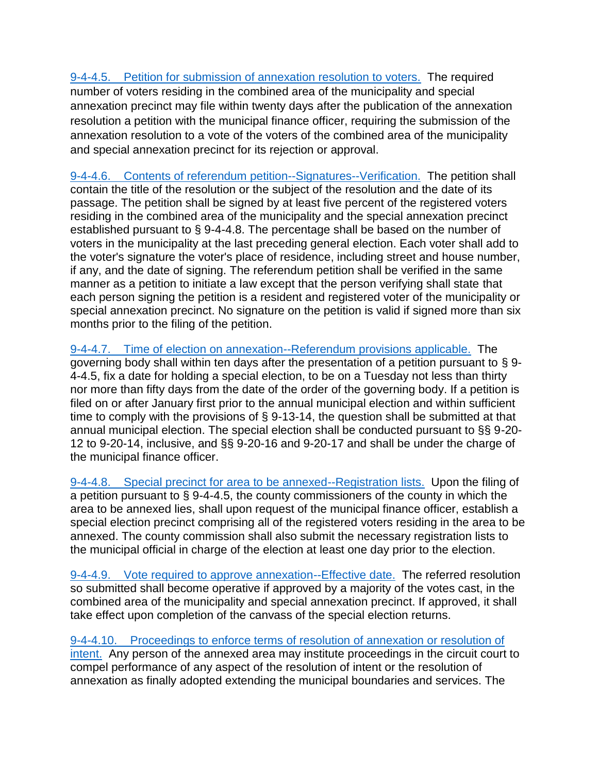[9-4-4.5. Petition for submission of annexation resolution to voters.](http://sdlegislature.gov/Statutes/Codified_Laws/DisplayStatute.aspx?Type=Statute&Statute=9-4-4.5) The required number of voters residing in the combined area of the municipality and special annexation precinct may file within twenty days after the publication of the annexation resolution a petition with the municipal finance officer, requiring the submission of the annexation resolution to a vote of the voters of the combined area of the municipality and special annexation precinct for its rejection or approval.

[9-4-4.6. Contents of referendum petition--Signatures--Verification.](http://sdlegislature.gov/Statutes/Codified_Laws/DisplayStatute.aspx?Type=Statute&Statute=9-4-4.6) The petition shall contain the title of the resolution or the subject of the resolution and the date of its passage. The petition shall be signed by at least five percent of the registered voters residing in the combined area of the municipality and the special annexation precinct established pursuant to § 9-4-4.8. The percentage shall be based on the number of voters in the municipality at the last preceding general election. Each voter shall add to the voter's signature the voter's place of residence, including street and house number, if any, and the date of signing. The referendum petition shall be verified in the same manner as a petition to initiate a law except that the person verifying shall state that each person signing the petition is a resident and registered voter of the municipality or special annexation precinct. No signature on the petition is valid if signed more than six months prior to the filing of the petition.

[9-4-4.7. Time of election on annexation--Referendum provisions applicable.](http://sdlegislature.gov/Statutes/Codified_Laws/DisplayStatute.aspx?Type=Statute&Statute=9-4-4.7) The governing body shall within ten days after the presentation of a petition pursuant to § 9- 4-4.5, fix a date for holding a special election, to be on a Tuesday not less than thirty nor more than fifty days from the date of the order of the governing body. If a petition is filed on or after January first prior to the annual municipal election and within sufficient time to comply with the provisions of § 9-13-14, the question shall be submitted at that annual municipal election. The special election shall be conducted pursuant to §§ 9-20- 12 to 9-20-14, inclusive, and §§ 9-20-16 and 9-20-17 and shall be under the charge of the municipal finance officer.

[9-4-4.8. Special precinct for area to be annexed--Registration lists.](http://sdlegislature.gov/Statutes/Codified_Laws/DisplayStatute.aspx?Type=Statute&Statute=9-4-4.8) Upon the filing of a petition pursuant to § 9-4-4.5, the county commissioners of the county in which the area to be annexed lies, shall upon request of the municipal finance officer, establish a special election precinct comprising all of the registered voters residing in the area to be annexed. The county commission shall also submit the necessary registration lists to the municipal official in charge of the election at least one day prior to the election.

[9-4-4.9. Vote required to approve annexation--Effective date.](http://sdlegislature.gov/Statutes/Codified_Laws/DisplayStatute.aspx?Type=Statute&Statute=9-4-4.9) The referred resolution so submitted shall become operative if approved by a majority of the votes cast, in the combined area of the municipality and special annexation precinct. If approved, it shall take effect upon completion of the canvass of the special election returns.

[9-4-4.10. Proceedings to enforce terms of resolution of annexation or resolution of](http://sdlegislature.gov/Statutes/Codified_Laws/DisplayStatute.aspx?Type=Statute&Statute=9-4-4.10)  [intent.](http://sdlegislature.gov/Statutes/Codified_Laws/DisplayStatute.aspx?Type=Statute&Statute=9-4-4.10) Any person of the annexed area may institute proceedings in the circuit court to compel performance of any aspect of the resolution of intent or the resolution of annexation as finally adopted extending the municipal boundaries and services. The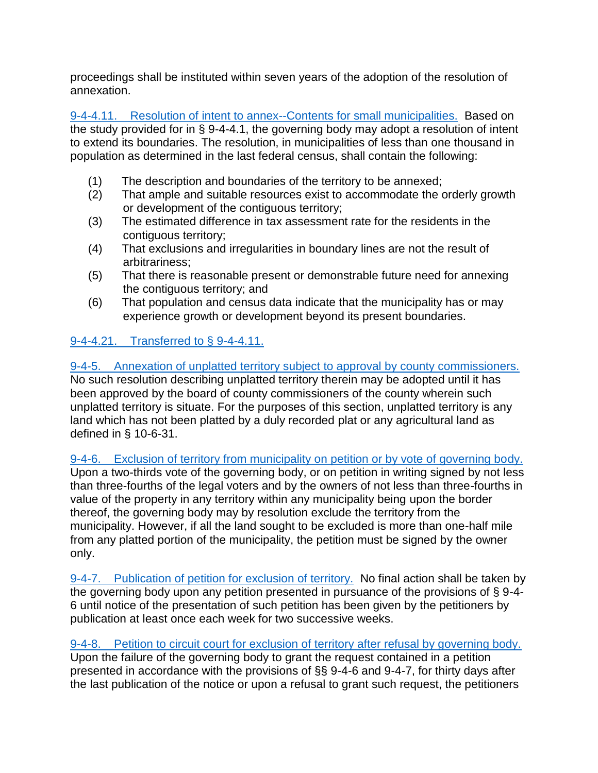proceedings shall be instituted within seven years of the adoption of the resolution of annexation.

[9-4-4.11. Resolution of intent to annex--Contents for small municipalities.](http://sdlegislature.gov/Statutes/Codified_Laws/DisplayStatute.aspx?Type=Statute&Statute=9-4-4.11) Based on the study provided for in § 9-4-4.1, the governing body may adopt a resolution of intent to extend its boundaries. The resolution, in municipalities of less than one thousand in population as determined in the last federal census, shall contain the following:

- (1) The description and boundaries of the territory to be annexed;
- (2) That ample and suitable resources exist to accommodate the orderly growth or development of the contiguous territory;
- (3) The estimated difference in tax assessment rate for the residents in the contiguous territory;
- (4) That exclusions and irregularities in boundary lines are not the result of arbitrariness;
- (5) That there is reasonable present or demonstrable future need for annexing the contiguous territory; and
- (6) That population and census data indicate that the municipality has or may experience growth or development beyond its present boundaries.

## [9-4-4.21. Transferred to § 9-4-4.11.](http://sdlegislature.gov/Statutes/Codified_Laws/DisplayStatute.aspx?Type=Statute&Statute=9-4-4.21)

[9-4-5. Annexation of unplatted territory subject to approval by county commissioners.](http://sdlegislature.gov/Statutes/Codified_Laws/DisplayStatute.aspx?Type=Statute&Statute=9-4-5)  No such resolution describing unplatted territory therein may be adopted until it has been approved by the board of county commissioners of the county wherein such unplatted territory is situate. For the purposes of this section, unplatted territory is any land which has not been platted by a duly recorded plat or any agricultural land as defined in § 10-6-31.

[9-4-6. Exclusion of territory from municipality on petition or by vote of governing body.](http://sdlegislature.gov/Statutes/Codified_Laws/DisplayStatute.aspx?Type=Statute&Statute=9-4-6)  Upon a two-thirds vote of the governing body, or on petition in writing signed by not less than three-fourths of the legal voters and by the owners of not less than three-fourths in value of the property in any territory within any municipality being upon the border thereof, the governing body may by resolution exclude the territory from the municipality. However, if all the land sought to be excluded is more than one-half mile from any platted portion of the municipality, the petition must be signed by the owner only.

[9-4-7. Publication of petition for exclusion of territory.](http://sdlegislature.gov/Statutes/Codified_Laws/DisplayStatute.aspx?Type=Statute&Statute=9-4-7) No final action shall be taken by the governing body upon any petition presented in pursuance of the provisions of § 9-4- 6 until notice of the presentation of such petition has been given by the petitioners by publication at least once each week for two successive weeks.

[9-4-8. Petition to circuit court for exclusion of territory after refusal by governing body.](http://sdlegislature.gov/Statutes/Codified_Laws/DisplayStatute.aspx?Type=Statute&Statute=9-4-8)  Upon the failure of the governing body to grant the request contained in a petition presented in accordance with the provisions of §§ 9-4-6 and 9-4-7, for thirty days after the last publication of the notice or upon a refusal to grant such request, the petitioners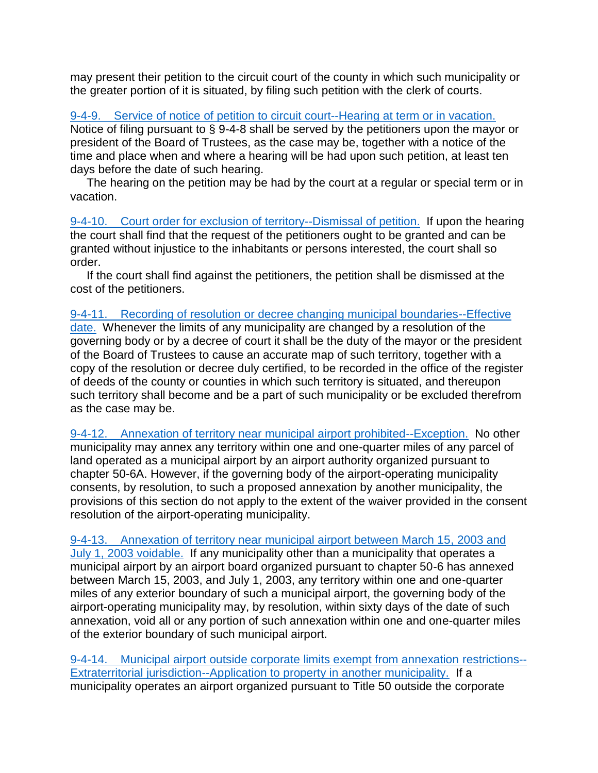may present their petition to the circuit court of the county in which such municipality or the greater portion of it is situated, by filing such petition with the clerk of courts.

[9-4-9. Service of notice of petition to circuit court--Hearing at term or in vacation.](http://sdlegislature.gov/Statutes/Codified_Laws/DisplayStatute.aspx?Type=Statute&Statute=9-4-9)  Notice of filing pursuant to § 9-4-8 shall be served by the petitioners upon the mayor or president of the Board of Trustees, as the case may be, together with a notice of the time and place when and where a hearing will be had upon such petition, at least ten days before the date of such hearing.

 The hearing on the petition may be had by the court at a regular or special term or in vacation.

[9-4-10. Court order for exclusion of territory--Dismissal of petition.](http://sdlegislature.gov/Statutes/Codified_Laws/DisplayStatute.aspx?Type=Statute&Statute=9-4-10) If upon the hearing the court shall find that the request of the petitioners ought to be granted and can be granted without injustice to the inhabitants or persons interested, the court shall so order.

 If the court shall find against the petitioners, the petition shall be dismissed at the cost of the petitioners.

[9-4-11. Recording of resolution or decree changing municipal boundaries--Effective](http://sdlegislature.gov/Statutes/Codified_Laws/DisplayStatute.aspx?Type=Statute&Statute=9-4-11)  [date.](http://sdlegislature.gov/Statutes/Codified_Laws/DisplayStatute.aspx?Type=Statute&Statute=9-4-11) Whenever the limits of any municipality are changed by a resolution of the governing body or by a decree of court it shall be the duty of the mayor or the president of the Board of Trustees to cause an accurate map of such territory, together with a copy of the resolution or decree duly certified, to be recorded in the office of the register of deeds of the county or counties in which such territory is situated, and thereupon such territory shall become and be a part of such municipality or be excluded therefrom as the case may be.

[9-4-12. Annexation of territory near municipal airport prohibited--Exception.](http://sdlegislature.gov/Statutes/Codified_Laws/DisplayStatute.aspx?Type=Statute&Statute=9-4-12) No other municipality may annex any territory within one and one-quarter miles of any parcel of land operated as a municipal airport by an airport authority organized pursuant to chapter 50-6A. However, if the governing body of the airport-operating municipality consents, by resolution, to such a proposed annexation by another municipality, the provisions of this section do not apply to the extent of the waiver provided in the consent resolution of the airport-operating municipality.

[9-4-13. Annexation of territory near municipal airport between March 15, 2003 and](http://sdlegislature.gov/Statutes/Codified_Laws/DisplayStatute.aspx?Type=Statute&Statute=9-4-13)  [July 1, 2003 voidable.](http://sdlegislature.gov/Statutes/Codified_Laws/DisplayStatute.aspx?Type=Statute&Statute=9-4-13) If any municipality other than a municipality that operates a municipal airport by an airport board organized pursuant to chapter 50-6 has annexed between March 15, 2003, and July 1, 2003, any territory within one and one-quarter miles of any exterior boundary of such a municipal airport, the governing body of the airport-operating municipality may, by resolution, within sixty days of the date of such annexation, void all or any portion of such annexation within one and one-quarter miles of the exterior boundary of such municipal airport.

[9-4-14. Municipal airport outside corporate limits exempt from annexation](http://sdlegislature.gov/Statutes/Codified_Laws/DisplayStatute.aspx?Type=Statute&Statute=9-4-14) restrictions-- [Extraterritorial jurisdiction--Application to property in another municipality.](http://sdlegislature.gov/Statutes/Codified_Laws/DisplayStatute.aspx?Type=Statute&Statute=9-4-14) If a municipality operates an airport organized pursuant to Title 50 outside the corporate